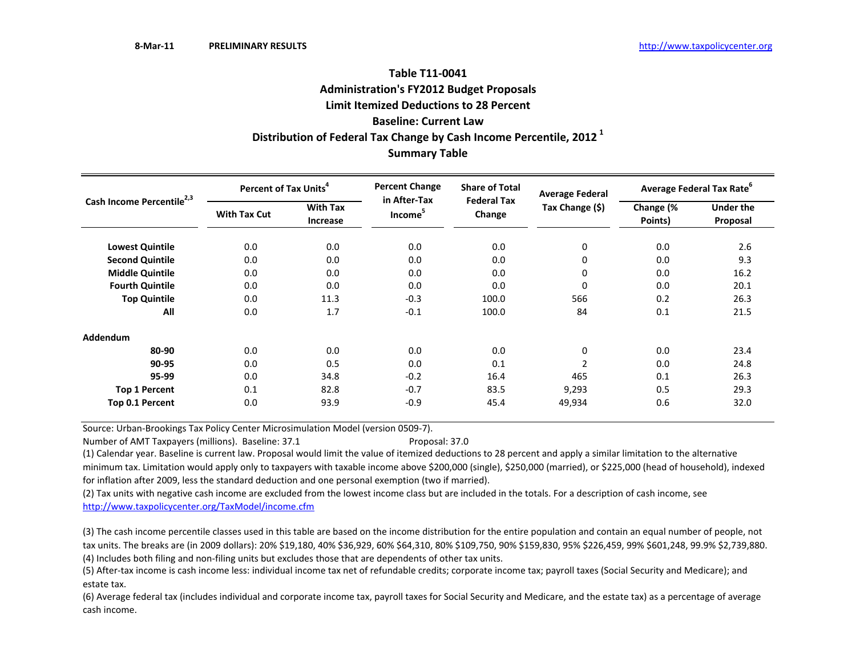# **Table T11‐0041Administration's FY2012 Budget Proposals Limit Itemized Deductions to 28 Percent Baseline: Current LawDistribution of Federal Tax Change by Cash Income Percentile, <sup>2012</sup> <sup>1</sup> Summary Table**

| Cash Income Percentile <sup>2,3</sup> | Percent of Tax Units <sup>4</sup> |                             | <b>Percent Change</b><br>in After-Tax | <b>Share of Total</b>        | <b>Average Federal</b> | Average Federal Tax Rate <sup>6</sup> |                       |  |
|---------------------------------------|-----------------------------------|-----------------------------|---------------------------------------|------------------------------|------------------------|---------------------------------------|-----------------------|--|
|                                       | <b>With Tax Cut</b>               | <b>With Tax</b><br>Increase | Income <sup>5</sup>                   | <b>Federal Tax</b><br>Change | Tax Change (\$)        | Change (%<br>Points)                  | Under the<br>Proposal |  |
| <b>Lowest Quintile</b>                | 0.0                               | 0.0                         | 0.0                                   | 0.0                          | 0                      | 0.0                                   | 2.6                   |  |
| <b>Second Quintile</b>                | 0.0                               | 0.0                         | 0.0                                   | 0.0                          | 0                      | 0.0                                   | 9.3                   |  |
| <b>Middle Quintile</b>                | 0.0                               | 0.0                         | 0.0                                   | 0.0                          | 0                      | 0.0                                   | 16.2                  |  |
| <b>Fourth Quintile</b>                | 0.0                               | 0.0                         | 0.0                                   | 0.0                          | 0                      | 0.0                                   | 20.1                  |  |
| <b>Top Quintile</b>                   | 0.0                               | 11.3                        | $-0.3$                                | 100.0                        | 566                    | 0.2                                   | 26.3                  |  |
| All                                   | 0.0                               | 1.7                         | $-0.1$                                | 100.0                        | 84                     | 0.1                                   | 21.5                  |  |
| Addendum                              |                                   |                             |                                       |                              |                        |                                       |                       |  |
| 80-90                                 | 0.0                               | 0.0                         | 0.0                                   | 0.0                          | 0                      | 0.0                                   | 23.4                  |  |
| 90-95                                 | 0.0                               | 0.5                         | 0.0                                   | 0.1                          | $\overline{2}$         | 0.0                                   | 24.8                  |  |
| 95-99                                 | 0.0                               | 34.8                        | $-0.2$                                | 16.4                         | 465                    | 0.1                                   | 26.3                  |  |
| <b>Top 1 Percent</b>                  | 0.1                               | 82.8                        | $-0.7$                                | 83.5                         | 9,293                  | 0.5                                   | 29.3                  |  |
| Top 0.1 Percent                       | 0.0                               | 93.9                        | $-0.9$                                | 45.4                         | 49,934                 | 0.6                                   | 32.0                  |  |

Source: Urban‐Brookings Tax Policy Center Microsimulation Model (version 0509‐7).

Number of AMT Taxpayers (millions). Baseline: 37.1 Proposal: 37.0

(1) Calendar year. Baseline is current law. Proposal would limit the value of itemized deductions to 28 percent and apply <sup>a</sup> similar limitation to the alternative minimum tax. Limitation would apply only to taxpayers with taxable income above \$200,000 (single), \$250,000 (married), or \$225,000 (head of household), indexed for inflation after 2009, less the standard deduction and one personal exemption (two if married).

(2) Tax units with negative cash income are excluded from the lowest income class but are included in the totals. For <sup>a</sup> description of cash income, see http://www.taxpolicycenter.org/TaxModel/income.cfm

(4) Includes both filing and non‐filing units but excludes those that are dependents of other tax units. (3) The cash income percentile classes used in this table are based on the income distribution for the entire population and contain an equal number of people, not tax units. The breaks are (in 2009 dollars): 20% \$19,180, 40% \$36,929, 60% \$64,310, 80% \$109,750, 90% \$159,830, 95% \$226,459, 99% \$601,248, 99.9% \$2,739,880.

(5) After‐tax income is cash income less: individual income tax net of refundable credits; corporate income tax; payroll taxes (Social Security and Medicare); and estate tax.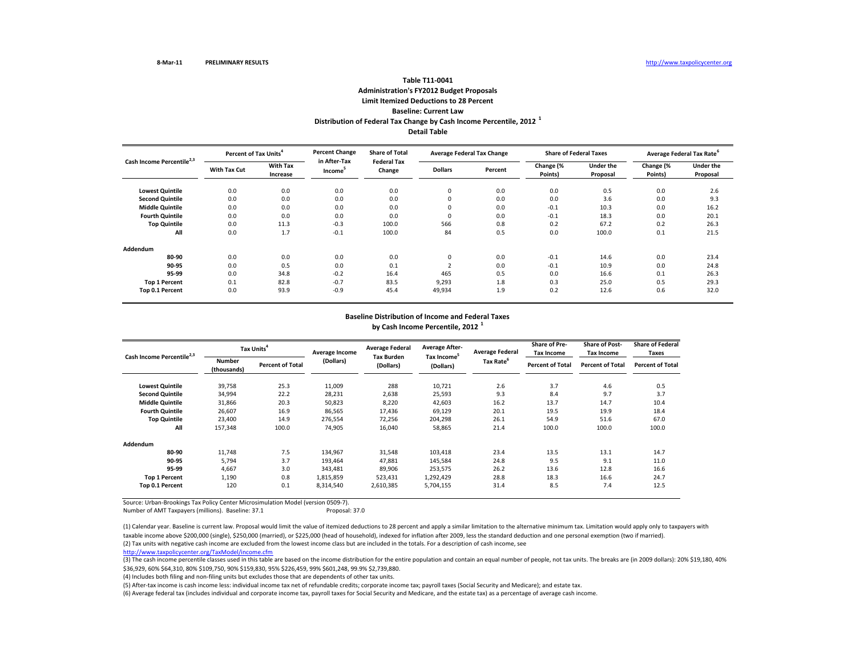## **Distribution of Federal Tax Change by Cash Income Percentile, <sup>2012</sup> <sup>1</sup> Detail TableTable T11‐0041Administration's FY2012 Budget Proposals Limit Itemized Deductions to 28 Percent Baseline: Current Law**

| Cash Income Percentile <sup>2,3</sup> | Percent of Tax Units <sup>4</sup> |                             | <b>Percent Change</b>               | <b>Share of Total</b>        | <b>Average Federal Tax Change</b> |         | <b>Share of Federal Taxes</b> |                              | Average Federal Tax Rate <sup>6</sup> |                       |
|---------------------------------------|-----------------------------------|-----------------------------|-------------------------------------|------------------------------|-----------------------------------|---------|-------------------------------|------------------------------|---------------------------------------|-----------------------|
|                                       | <b>With Tax Cut</b>               | <b>With Tax</b><br>Increase | in After-Tax<br>Income <sup>3</sup> | <b>Federal Tax</b><br>Change | <b>Dollars</b>                    | Percent | Change (%<br>Points)          | <b>Under the</b><br>Proposal | Change (%<br>Points)                  | Under the<br>Proposal |
| <b>Lowest Quintile</b>                | 0.0                               | 0.0                         | 0.0                                 | 0.0                          | $\mathbf 0$                       | 0.0     | 0.0                           | 0.5                          | 0.0                                   | 2.6                   |
| <b>Second Quintile</b>                | 0.0                               | 0.0                         | 0.0                                 | 0.0                          | $\mathbf 0$                       | 0.0     | 0.0                           | 3.6                          | 0.0                                   | 9.3                   |
| <b>Middle Quintile</b>                | 0.0                               | 0.0                         | 0.0                                 | 0.0                          | $\Omega$                          | 0.0     | $-0.1$                        | 10.3                         | 0.0                                   | 16.2                  |
| <b>Fourth Quintile</b>                | 0.0                               | 0.0                         | 0.0                                 | 0.0                          | $\mathbf 0$                       | 0.0     | $-0.1$                        | 18.3                         | 0.0                                   | 20.1                  |
| <b>Top Quintile</b>                   | 0.0                               | 11.3                        | $-0.3$                              | 100.0                        | 566                               | 0.8     | 0.2                           | 67.2                         | 0.2                                   | 26.3                  |
| All                                   | 0.0                               | 1.7                         | $-0.1$                              | 100.0                        | 84                                | 0.5     | 0.0                           | 100.0                        | 0.1                                   | 21.5                  |
| Addendum                              |                                   |                             |                                     |                              |                                   |         |                               |                              |                                       |                       |
| 80-90                                 | 0.0                               | 0.0                         | 0.0                                 | 0.0                          | $\Omega$                          | 0.0     | $-0.1$                        | 14.6                         | 0.0                                   | 23.4                  |
| 90-95                                 | 0.0                               | 0.5                         | 0.0                                 | 0.1                          |                                   | 0.0     | $-0.1$                        | 10.9                         | 0.0                                   | 24.8                  |
| 95-99                                 | 0.0                               | 34.8                        | $-0.2$                              | 16.4                         | 465                               | 0.5     | 0.0                           | 16.6                         | 0.1                                   | 26.3                  |
| <b>Top 1 Percent</b>                  | 0.1                               | 82.8                        | $-0.7$                              | 83.5                         | 9,293                             | 1.8     | 0.3                           | 25.0                         | 0.5                                   | 29.3                  |
| Top 0.1 Percent                       | 0.0                               | 93.9                        | $-0.9$                              | 45.4                         | 49,934                            | 1.9     | 0.2                           | 12.6                         | 0.6                                   | 32.0                  |

#### **Baseline Distribution of Income and Federal Taxes by Cash Income Percentile, <sup>2012</sup> <sup>1</sup>**

| Cash Income Percentile <sup>2,3</sup> |                              | Tax Units <sup>4</sup>  | Average Income | <b>Average Federal</b>         | <b>Average After-</b>                | <b>Average Federal</b> | <b>Share of Pre-</b><br>Tax Income | <b>Share of Post-</b><br><b>Tax Income</b> | <b>Share of Federal</b><br>Taxes |
|---------------------------------------|------------------------------|-------------------------|----------------|--------------------------------|--------------------------------------|------------------------|------------------------------------|--------------------------------------------|----------------------------------|
|                                       | <b>Number</b><br>(thousands) | <b>Percent of Total</b> | (Dollars)      | <b>Tax Burden</b><br>(Dollars) | Tax Income <sup>5</sup><br>(Dollars) | Tax Rate <sup>6</sup>  | <b>Percent of Total</b>            | <b>Percent of Total</b>                    | <b>Percent of Total</b>          |
| <b>Lowest Quintile</b>                | 39,758                       | 25.3                    | 11,009         | 288                            | 10,721                               | 2.6                    | 3.7                                | 4.6                                        | 0.5                              |
| <b>Second Quintile</b>                | 34,994                       | 22.2                    | 28,231         | 2,638                          | 25,593                               | 9.3                    | 8.4                                | 9.7                                        | 3.7                              |
| <b>Middle Quintile</b>                | 31,866                       | 20.3                    | 50,823         | 8,220                          | 42,603                               | 16.2                   | 13.7                               | 14.7                                       | 10.4                             |
| <b>Fourth Quintile</b>                | 26.607                       | 16.9                    | 86,565         | 17,436                         | 69,129                               | 20.1                   | 19.5                               | 19.9                                       | 18.4                             |
| <b>Top Quintile</b>                   | 23,400                       | 14.9                    | 276,554        | 72,256                         | 204,298                              | 26.1                   | 54.9                               | 51.6                                       | 67.0                             |
| All                                   | 157,348                      | 100.0                   | 74,905         | 16,040                         | 58,865                               | 21.4                   | 100.0                              | 100.0                                      | 100.0                            |
| Addendum                              |                              |                         |                |                                |                                      |                        |                                    |                                            |                                  |
| 80-90                                 | 11,748                       | 7.5                     | 134,967        | 31,548                         | 103,418                              | 23.4                   | 13.5                               | 13.1                                       | 14.7                             |
| 90-95                                 | 5,794                        | 3.7                     | 193,464        | 47,881                         | 145,584                              | 24.8                   | 9.5                                | 9.1                                        | 11.0                             |
| 95-99                                 | 4,667                        | 3.0                     | 343,481        | 89,906                         | 253,575                              | 26.2                   | 13.6                               | 12.8                                       | 16.6                             |
| <b>Top 1 Percent</b>                  | 1,190                        | 0.8                     | 1,815,859      | 523,431                        | 1,292,429                            | 28.8                   | 18.3                               | 16.6                                       | 24.7                             |
| Top 0.1 Percent                       | 120                          | 0.1                     | 8,314,540      | 2,610,385                      | 5,704,155                            | 31.4                   | 8.5                                | 7.4                                        | 12.5                             |

Source: Urban‐Brookings Tax Policy Center Microsimulation Model (version 0509‐7).

Number of AMT Taxpayers (millions). Baseline: 37.1 Proposal: 37.0

(2) Tax units with negative cash income are excluded from the lowest income class but are included in the totals. For <sup>a</sup> description of cash income, see (1) Calendar year. Baseline is current law. Proposal would limit the value of itemized deductions to 28 percent and apply <sup>a</sup> similar limitation to the alternative minimum tax. Limitation would apply only to taxpayers with taxable income above \$200,000 (single), \$250,000 (married), or \$225,000 (head of household), indexed for inflation after 2009, less the standard deduction and one personal exemption (two if married).

http://www.taxpolicycenter.org/TaxModel/income.cfm

(3) The cash income percentile classes used in this table are based on the income distribution for the entire population and contain an equal number of people, not tax units. The breaks are (in 2009 dollars): 20% \$19,180, \$36,929, 60% \$64,310, 80% \$109,750, 90% \$159,830, 95% \$226,459, 99% \$601,248, 99.9% \$2,739,880.

(4) Includes both filing and non‐filing units but excludes those that are dependents of other tax units.

(5) After‐tax income is cash income less: individual income tax net of refundable credits; corporate income tax; payroll taxes (Social Security and Medicare); and estate tax.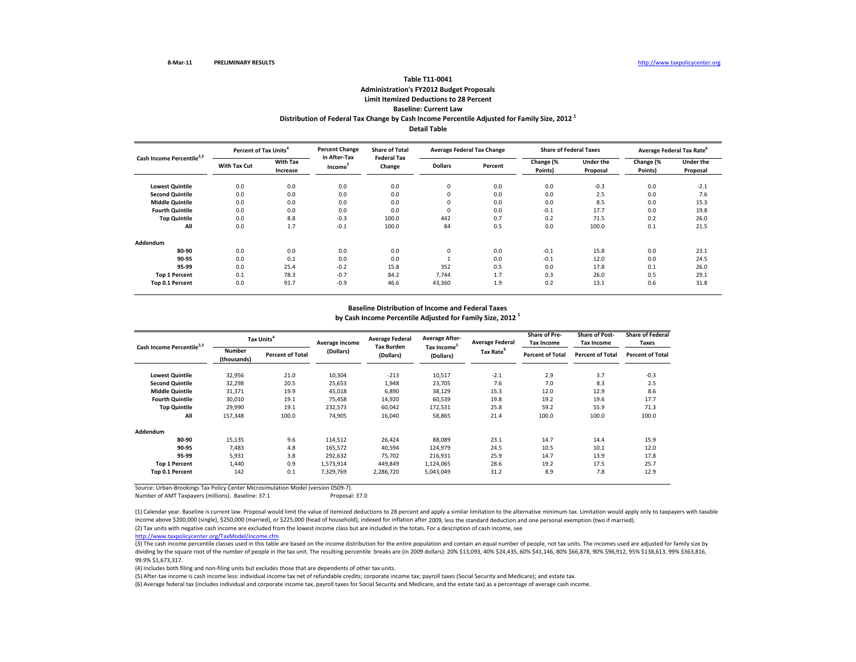# **Distribution of Federal Tax Change by Cash Income Percentile Adjusted for Family Size, <sup>2012</sup> <sup>1</sup> Table T11‐0041 Administration's FY2012 Budget Proposals Limit Itemized Deductions to 28 Percent Baseline: Current Law**

**Detail Table**

| Cash Income Percentile <sup>2,3</sup> | Percent of Tax Units <sup>4</sup> |                             | <b>Percent Change</b>               | <b>Share of Total</b>        | <b>Average Federal Tax Change</b> |         | <b>Share of Federal Taxes</b> |                       | Average Federal Tax Rate <sup>o</sup> |                              |
|---------------------------------------|-----------------------------------|-----------------------------|-------------------------------------|------------------------------|-----------------------------------|---------|-------------------------------|-----------------------|---------------------------------------|------------------------------|
|                                       | <b>With Tax Cut</b>               | <b>With Tax</b><br>Increase | in After-Tax<br>Income <sup>3</sup> | <b>Federal Tax</b><br>Change | <b>Dollars</b>                    | Percent | Change (%<br>Points)          | Under the<br>Proposal | Change (%<br>Points)                  | <b>Under the</b><br>Proposal |
| <b>Lowest Quintile</b>                | 0.0                               | 0.0                         | 0.0                                 | 0.0                          | 0                                 | 0.0     | 0.0                           | $-0.3$                | 0.0                                   | $-2.1$                       |
| <b>Second Quintile</b>                | 0.0                               | 0.0                         | 0.0                                 | 0.0                          | 0                                 | 0.0     | 0.0                           | 2.5                   | 0.0                                   | 7.6                          |
| <b>Middle Quintile</b>                | 0.0                               | 0.0                         | 0.0                                 | 0.0                          | 0                                 | 0.0     | 0.0                           | 8.5                   | 0.0                                   | 15.3                         |
| <b>Fourth Quintile</b>                | 0.0                               | 0.0                         | 0.0                                 | 0.0                          | $\mathbf 0$                       | 0.0     | $-0.1$                        | 17.7                  | 0.0                                   | 19.8                         |
| <b>Top Quintile</b>                   | 0.0                               | 8.8                         | $-0.3$                              | 100.0                        | 442                               | 0.7     | 0.2                           | 71.5                  | 0.2                                   | 26.0                         |
| All                                   | 0.0                               | 1.7                         | $-0.1$                              | 100.0                        | 84                                | 0.5     | 0.0                           | 100.0                 | 0.1                                   | 21.5                         |
| Addendum                              |                                   |                             |                                     |                              |                                   |         |                               |                       |                                       |                              |
| 80-90                                 | 0.0                               | 0.0                         | 0.0                                 | 0.0                          | 0                                 | 0.0     | $-0.1$                        | 15.8                  | 0.0                                   | 23.1                         |
| 90-95                                 | 0.0                               | 0.1                         | 0.0                                 | 0.0                          |                                   | 0.0     | $-0.1$                        | 12.0                  | 0.0                                   | 24.5                         |
| 95-99                                 | 0.0                               | 25.4                        | $-0.2$                              | 15.8                         | 352                               | 0.5     | 0.0                           | 17.8                  | 0.1                                   | 26.0                         |
| <b>Top 1 Percent</b>                  | 0.1                               | 78.3                        | $-0.7$                              | 84.2                         | 7.744                             | 1.7     | 0.3                           | 26.0                  | 0.5                                   | 29.1                         |
| Top 0.1 Percent                       | 0.0                               | 91.7                        | $-0.9$                              | 46.6                         | 43,360                            | 1.9     | 0.2                           | 13.1                  | 0.6                                   | 31.8                         |

#### **Baseline Distribution of Income and Federal Taxes**

**by Cash Income Percentile Adjusted for Family Size, <sup>2012</sup> <sup>1</sup>**

| Cash Income Percentile <sup>2,3</sup> |                              | Tax Units <sup>4</sup>  | Average Income | <b>Average Federal</b><br><b>Tax Burden</b> | <b>Average After-</b>                | <b>Average Federal</b> | Share of Pre-<br><b>Tax Income</b> | <b>Share of Post-</b><br><b>Tax Income</b> | <b>Share of Federal</b><br>Taxes |
|---------------------------------------|------------------------------|-------------------------|----------------|---------------------------------------------|--------------------------------------|------------------------|------------------------------------|--------------------------------------------|----------------------------------|
|                                       | <b>Number</b><br>(thousands) | <b>Percent of Total</b> | (Dollars)      | (Dollars)                                   | Tax Income <sup>5</sup><br>(Dollars) | Tax Rate <sup>6</sup>  | <b>Percent of Total</b>            | <b>Percent of Total</b>                    | <b>Percent of Total</b>          |
| <b>Lowest Quintile</b>                | 32,956                       | 21.0                    | 10,304         | $-213$                                      | 10,517                               | $-2.1$                 | 2.9                                | 3.7                                        | $-0.3$                           |
| <b>Second Quintile</b>                | 32,298                       | 20.5                    | 25,653         | 1,948                                       | 23,705                               | 7.6                    | 7.0                                | 8.3                                        | 2.5                              |
| <b>Middle Quintile</b>                | 31,371                       | 19.9                    | 45,018         | 6,890                                       | 38,129                               | 15.3                   | 12.0                               | 12.9                                       | 8.6                              |
| <b>Fourth Quintile</b>                | 30,010                       | 19.1                    | 75,458         | 14,920                                      | 60,539                               | 19.8                   | 19.2                               | 19.6                                       | 17.7                             |
| <b>Top Quintile</b>                   | 29,990                       | 19.1                    | 232,573        | 60,042                                      | 172,531                              | 25.8                   | 59.2                               | 55.9                                       | 71.3                             |
| All                                   | 157,348                      | 100.0                   | 74,905         | 16,040                                      | 58,865                               | 21.4                   | 100.0                              | 100.0                                      | 100.0                            |
| Addendum                              |                              |                         |                |                                             |                                      |                        |                                    |                                            |                                  |
| 80-90                                 | 15,135                       | 9.6                     | 114,512        | 26,424                                      | 88,089                               | 23.1                   | 14.7                               | 14.4                                       | 15.9                             |
| 90-95                                 | 7,483                        | 4.8                     | 165,572        | 40,594                                      | 124,979                              | 24.5                   | 10.5                               | 10.1                                       | 12.0                             |
| 95-99                                 | 5,931                        | 3.8                     | 292,632        | 75,702                                      | 216,931                              | 25.9                   | 14.7                               | 13.9                                       | 17.8                             |
| <b>Top 1 Percent</b>                  | 1,440                        | 0.9                     | 1,573,914      | 449,849                                     | 1,124,065                            | 28.6                   | 19.2                               | 17.5                                       | 25.7                             |
| Top 0.1 Percent                       | 142                          | 0.1                     | 7,329,769      | 2,286,720                                   | 5,043,049                            | 31.2                   | 8.9                                | 7.8                                        | 12.9                             |

Source: Urban‐Brookings Tax Policy Center Microsimulation Model (version 0509‐7).

Number of AMT Taxpayers (millions). Baseline: 37.1 Proposal: 37.0

(1) Calendar year. Baseline is current law. Proposal would limit the value of itemized deductions to 28 percent and apply a similar limitation to the alternative minimum tax. Limitation would apply only to taxpayers with t income above \$200,000 (single), \$250,000 (married), or \$225,000 (head of household), indexed for inflation after 2009, less the standard deduction and one personal exemption (two if married).

(2) Tax units with negative cash income are excluded from the lowest income class but are included in the totals. For <sup>a</sup> description of cash income, see

http://www.taxpolicycenter.org/TaxModel/income.cfm

(3) The cash income percentile classes used in this table are based on the income distribution for the entire population and contain an equal number of people, not tax units. The incomes used are adjusted for family size by dividing by the square root of the number of people in the tax unit. The resulting percentile breaks are (in 2009 dollars): 20% \$13,093, 40% \$24,435, 60% \$41,146, 80% \$66,878, 90% \$96,912, 95% \$138,613, 99% \$363,816, 99.9% \$1,673,317.

(4) Includes both filing and non‐filing units but excludes those that are dependents of other tax units.

(5) After‐tax income is cash income less: individual income tax net of refundable credits; corporate income tax; payroll taxes (Social Security and Medicare); and estate tax.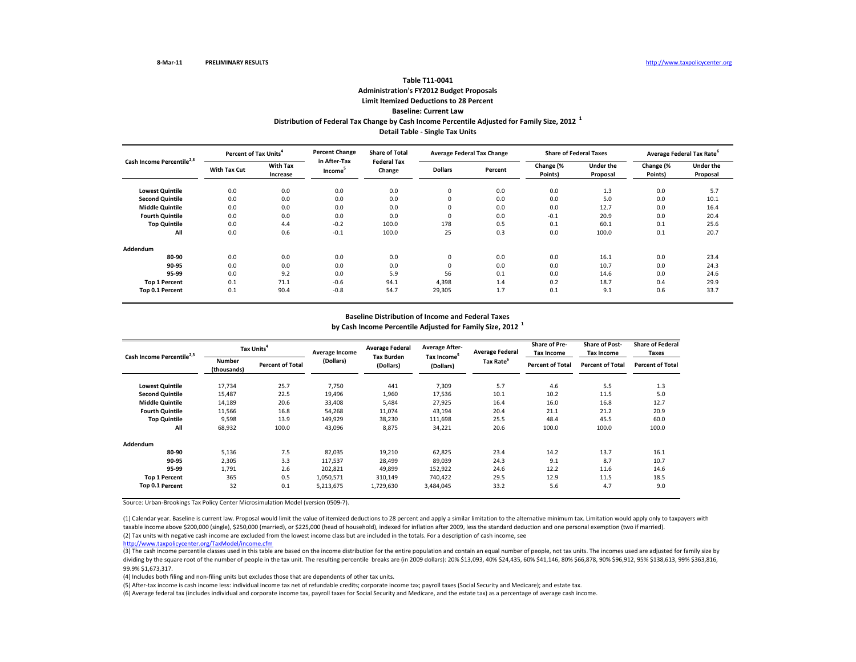## **Distribution of Federal Tax Change by Cash Income Percentile Adjusted for Family Size, <sup>2012</sup> <sup>1</sup> Detail Table ‐ Single Tax Units Table T11‐0041Administration's FY2012 Budget Proposals Limit Itemized Deductions to 28 Percent Baseline: Current Law**

| Cash Income Percentile <sup>2,3</sup> |                     | <b>Percent Change</b><br>Percent of Tax Units <sup>4</sup> |                                     | <b>Share of Total</b><br><b>Federal Tax</b> | <b>Average Federal Tax Change</b> |         | <b>Share of Federal Taxes</b> |                              | Average Federal Tax Rate <sup>6</sup> |                       |
|---------------------------------------|---------------------|------------------------------------------------------------|-------------------------------------|---------------------------------------------|-----------------------------------|---------|-------------------------------|------------------------------|---------------------------------------|-----------------------|
|                                       | <b>With Tax Cut</b> | <b>With Tax</b><br>Increase                                | in After-Tax<br>Income <sup>5</sup> | Change                                      | <b>Dollars</b>                    | Percent | Change (%<br>Points)          | <b>Under the</b><br>Proposal | Change (%<br>Points)                  | Under the<br>Proposal |
| <b>Lowest Quintile</b>                | 0.0                 | 0.0                                                        | 0.0                                 | 0.0                                         | $\mathbf 0$                       | 0.0     | 0.0                           | 1.3                          | 0.0                                   | 5.7                   |
| <b>Second Quintile</b>                | 0.0                 | 0.0                                                        | 0.0                                 | 0.0                                         | 0                                 | 0.0     | 0.0                           | 5.0                          | 0.0                                   | 10.1                  |
| <b>Middle Quintile</b>                | 0.0                 | 0.0                                                        | 0.0                                 | 0.0                                         | 0                                 | 0.0     | 0.0                           | 12.7                         | 0.0                                   | 16.4                  |
| <b>Fourth Quintile</b>                | 0.0                 | 0.0                                                        | 0.0                                 | 0.0                                         | $\Omega$                          | 0.0     | $-0.1$                        | 20.9                         | 0.0                                   | 20.4                  |
| <b>Top Quintile</b>                   | 0.0                 | 4.4                                                        | $-0.2$                              | 100.0                                       | 178                               | 0.5     | 0.1                           | 60.1                         | 0.1                                   | 25.6                  |
| All                                   | 0.0                 | 0.6                                                        | $-0.1$                              | 100.0                                       | 25                                | 0.3     | 0.0                           | 100.0                        | 0.1                                   | 20.7                  |
| Addendum                              |                     |                                                            |                                     |                                             |                                   |         |                               |                              |                                       |                       |
| 80-90                                 | 0.0                 | 0.0                                                        | 0.0                                 | 0.0                                         | $\mathbf 0$                       | 0.0     | 0.0                           | 16.1                         | 0.0                                   | 23.4                  |
| 90-95                                 | 0.0                 | 0.0                                                        | 0.0                                 | 0.0                                         | 0                                 | 0.0     | 0.0                           | 10.7                         | 0.0                                   | 24.3                  |
| 95-99                                 | 0.0                 | 9.2                                                        | 0.0                                 | 5.9                                         | 56                                | 0.1     | 0.0                           | 14.6                         | 0.0                                   | 24.6                  |
| <b>Top 1 Percent</b>                  | 0.1                 | 71.1                                                       | $-0.6$                              | 94.1                                        | 4,398                             | 1.4     | 0.2                           | 18.7                         | 0.4                                   | 29.9                  |
| Top 0.1 Percent                       | 0.1                 | 90.4                                                       | $-0.8$                              | 54.7                                        | 29,305                            | 1.7     | 0.1                           | 9.1                          | 0.6                                   | 33.7                  |

## **Baseline Distribution of Income and Federal Taxes by Cash Income Percentile Adjusted for Family Size, <sup>2012</sup> <sup>1</sup>**

| Cash Income Percentile <sup>2,3</sup> |                              | Tax Units <sup>4</sup>  | Average Income | <b>Average Federal</b>         | <b>Average After-</b>                | <b>Average Federal</b> | <b>Share of Pre-</b><br>Tax Income | <b>Share of Post-</b><br><b>Tax Income</b> | <b>Share of Federal</b><br><b>Taxes</b> |
|---------------------------------------|------------------------------|-------------------------|----------------|--------------------------------|--------------------------------------|------------------------|------------------------------------|--------------------------------------------|-----------------------------------------|
|                                       | <b>Number</b><br>(thousands) | <b>Percent of Total</b> | (Dollars)      | <b>Tax Burden</b><br>(Dollars) | Tax Income <sup>5</sup><br>(Dollars) | Tax Rate <sup>6</sup>  | <b>Percent of Total</b>            | <b>Percent of Total</b>                    | <b>Percent of Total</b>                 |
| <b>Lowest Quintile</b>                | 17,734                       | 25.7                    | 7,750          | 441                            | 7,309                                | 5.7                    | 4.6                                | 5.5                                        | 1.3                                     |
| <b>Second Quintile</b>                | 15,487                       | 22.5                    | 19,496         | 1,960                          | 17,536                               | 10.1                   | 10.2                               | 11.5                                       | 5.0                                     |
| <b>Middle Quintile</b>                | 14,189                       | 20.6                    | 33,408         | 5,484                          | 27,925                               | 16.4                   | 16.0                               | 16.8                                       | 12.7                                    |
| <b>Fourth Quintile</b>                | 11,566                       | 16.8                    | 54,268         | 11,074                         | 43,194                               | 20.4                   | 21.1                               | 21.2                                       | 20.9                                    |
| <b>Top Quintile</b>                   | 9,598                        | 13.9                    | 149,929        | 38,230                         | 111,698                              | 25.5                   | 48.4                               | 45.5                                       | 60.0                                    |
| All                                   | 68,932                       | 100.0                   | 43,096         | 8,875                          | 34,221                               | 20.6                   | 100.0                              | 100.0                                      | 100.0                                   |
| Addendum                              |                              |                         |                |                                |                                      |                        |                                    |                                            |                                         |
| 80-90                                 | 5,136                        | 7.5                     | 82,035         | 19,210                         | 62,825                               | 23.4                   | 14.2                               | 13.7                                       | 16.1                                    |
| 90-95                                 | 2,305                        | 3.3                     | 117,537        | 28,499                         | 89,039                               | 24.3                   | 9.1                                | 8.7                                        | 10.7                                    |
| 95-99                                 | 1,791                        | 2.6                     | 202,821        | 49,899                         | 152,922                              | 24.6                   | 12.2                               | 11.6                                       | 14.6                                    |
| <b>Top 1 Percent</b>                  | 365                          | 0.5                     | 1,050,571      | 310,149                        | 740,422                              | 29.5                   | 12.9                               | 11.5                                       | 18.5                                    |
| Top 0.1 Percent                       | 32                           | 0.1                     | 5,213,675      | 1,729,630                      | 3,484,045                            | 33.2                   | 5.6                                | 4.7                                        | 9.0                                     |

Source: Urban‐Brookings Tax Policy Center Microsimulation Model (version 0509‐7).

(2) Tax units with negative cash income are excluded from the lowest income class but are included in the totals. For <sup>a</sup> description of cash income, see (1) Calendar year. Baseline is current law. Proposal would limit the value of itemized deductions to 28 percent and apply <sup>a</sup> similar limitation to the alternative minimum tax. Limitation would apply only to taxpayers with taxable income above \$200,000 (single), \$250,000 (married), or \$225,000 (head of household), indexed for inflation after 2009, less the standard deduction and one personal exemption (two if married).

http://www.taxpolicycenter.org/TaxModel/income.cfm

(3) The cash income percentile classes used in this table are based on the income distribution for the entire population and contain an equal number of people, not tax units. The incomes used are adjusted for family size b dividing by the square root of the number of people in the tax unit. The resulting percentile breaks are (in 2009 dollars): 20% \$13,093, 40% \$24,435, 60% \$41,146, 80% \$66,878, 90% \$96,912, 95% \$138,613, 99% \$363,816, 99.9% \$1,673,317.

(4) Includes both filing and non‐filing units but excludes those that are dependents of other tax units.

(5) After‐tax income is cash income less: individual income tax net of refundable credits; corporate income tax; payroll taxes (Social Security and Medicare); and estate tax.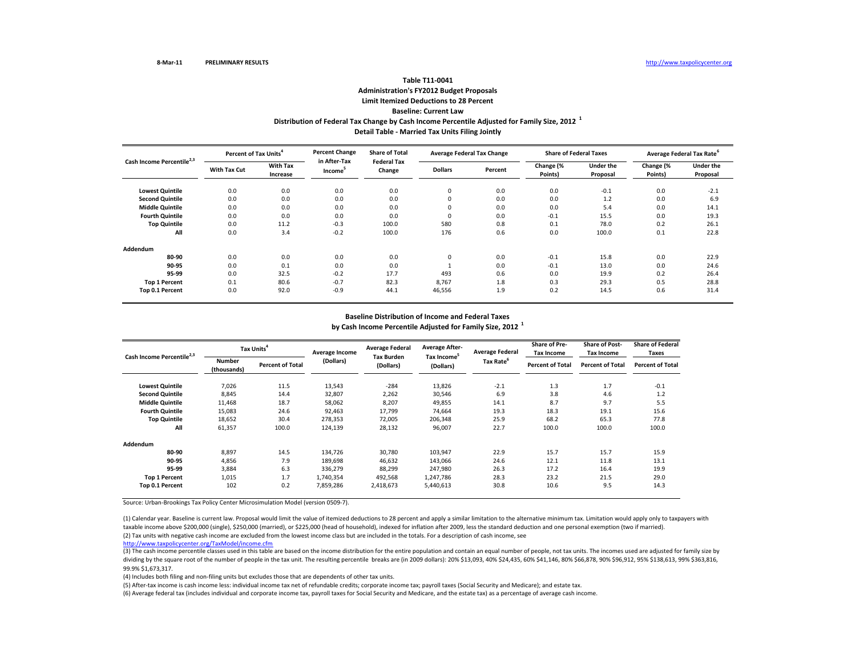## **Distribution of Federal Tax Change by Cash Income Percentile Adjusted for Family Size, <sup>2012</sup> <sup>1</sup> Detail Table ‐ Married Tax Units Filing Jointly Table T11‐0041Administration's FY2012 Budget Proposals Limit Itemized Deductions to 28 Percent Baseline: Current Law**

| Cash Income Percentile <sup>2,3</sup> | Percent of Tax Units <sup>4</sup> |                             | <b>Percent Change</b>               | <b>Share of Total</b>        | <b>Average Federal Tax Change</b> |         |                      | <b>Share of Federal Taxes</b> | Average Federal Tax Rate <sup>6</sup> |                              |
|---------------------------------------|-----------------------------------|-----------------------------|-------------------------------------|------------------------------|-----------------------------------|---------|----------------------|-------------------------------|---------------------------------------|------------------------------|
|                                       | <b>With Tax Cut</b>               | <b>With Tax</b><br>Increase | in After-Tax<br>Income <sup>3</sup> | <b>Federal Tax</b><br>Change | <b>Dollars</b>                    | Percent | Change (%<br>Points) | <b>Under the</b><br>Proposal  | Change (%<br>Points)                  | <b>Under the</b><br>Proposal |
| <b>Lowest Quintile</b>                | 0.0                               | 0.0                         | 0.0                                 | 0.0                          | $\mathbf 0$                       | 0.0     | 0.0                  | $-0.1$                        | 0.0                                   | $-2.1$                       |
| <b>Second Quintile</b>                | 0.0                               | 0.0                         | 0.0                                 | 0.0                          | $\mathbf 0$                       | 0.0     | 0.0                  | 1.2                           | 0.0                                   | 6.9                          |
| <b>Middle Quintile</b>                | 0.0                               | 0.0                         | 0.0                                 | 0.0                          | $\Omega$                          | 0.0     | 0.0                  | 5.4                           | 0.0                                   | 14.1                         |
| <b>Fourth Quintile</b>                | 0.0                               | 0.0                         | 0.0                                 | 0.0                          | $\mathbf 0$                       | 0.0     | $-0.1$               | 15.5                          | 0.0                                   | 19.3                         |
| <b>Top Quintile</b>                   | 0.0                               | 11.2                        | $-0.3$                              | 100.0                        | 580                               | 0.8     | 0.1                  | 78.0                          | 0.2                                   | 26.1                         |
| All                                   | 0.0                               | 3.4                         | $-0.2$                              | 100.0                        | 176                               | 0.6     | 0.0                  | 100.0                         | 0.1                                   | 22.8                         |
| Addendum                              |                                   |                             |                                     |                              |                                   |         |                      |                               |                                       |                              |
| 80-90                                 | 0.0                               | 0.0                         | 0.0                                 | 0.0                          | $\mathbf 0$                       | 0.0     | $-0.1$               | 15.8                          | 0.0                                   | 22.9                         |
| 90-95                                 | 0.0                               | 0.1                         | 0.0                                 | 0.0                          |                                   | 0.0     | $-0.1$               | 13.0                          | 0.0                                   | 24.6                         |
| 95-99                                 | 0.0                               | 32.5                        | $-0.2$                              | 17.7                         | 493                               | 0.6     | 0.0                  | 19.9                          | 0.2                                   | 26.4                         |
| <b>Top 1 Percent</b>                  | 0.1                               | 80.6                        | $-0.7$                              | 82.3                         | 8,767                             | 1.8     | 0.3                  | 29.3                          | 0.5                                   | 28.8                         |
| Top 0.1 Percent                       | 0.0                               | 92.0                        | $-0.9$                              | 44.1                         | 46,556                            | 1.9     | 0.2                  | 14.5                          | 0.6                                   | 31.4                         |

## **Baseline Distribution of Income and Federal Taxes by Cash Income Percentile Adjusted for Family Size, <sup>2012</sup> <sup>1</sup>**

| Cash Income Percentile <sup>2,3</sup> |                              | Tax Units <sup>4</sup>  | Average Income | <b>Average Federal</b>         | <b>Average After-</b>                | <b>Average Federal</b> | <b>Share of Pre-</b><br><b>Tax Income</b> | <b>Share of Post-</b><br><b>Tax Income</b> | <b>Share of Federal</b><br>Taxes |
|---------------------------------------|------------------------------|-------------------------|----------------|--------------------------------|--------------------------------------|------------------------|-------------------------------------------|--------------------------------------------|----------------------------------|
|                                       | <b>Number</b><br>(thousands) | <b>Percent of Total</b> | (Dollars)      | <b>Tax Burden</b><br>(Dollars) | Tax Income <sup>5</sup><br>(Dollars) | Tax Rate <sup>6</sup>  | <b>Percent of Total</b>                   | <b>Percent of Total</b>                    | <b>Percent of Total</b>          |
| <b>Lowest Quintile</b>                | 7,026                        | 11.5                    | 13,543         | $-284$                         | 13,826                               | $-2.1$                 | 1.3                                       | 1.7                                        | $-0.1$                           |
| <b>Second Quintile</b>                | 8,845                        | 14.4                    | 32,807         | 2,262                          | 30,546                               | 6.9                    | 3.8                                       | 4.6                                        | 1.2                              |
| <b>Middle Quintile</b>                | 11,468                       | 18.7                    | 58,062         | 8,207                          | 49,855                               | 14.1                   | 8.7                                       | 9.7                                        | 5.5                              |
| <b>Fourth Quintile</b>                | 15,083                       | 24.6                    | 92,463         | 17.799                         | 74.664                               | 19.3                   | 18.3                                      | 19.1                                       | 15.6                             |
| <b>Top Quintile</b>                   | 18,652                       | 30.4                    | 278,353        | 72,005                         | 206,348                              | 25.9                   | 68.2                                      | 65.3                                       | 77.8                             |
| All                                   | 61,357                       | 100.0                   | 124,139        | 28,132                         | 96,007                               | 22.7                   | 100.0                                     | 100.0                                      | 100.0                            |
| Addendum                              |                              |                         |                |                                |                                      |                        |                                           |                                            |                                  |
| 80-90                                 | 8,897                        | 14.5                    | 134,726        | 30,780                         | 103,947                              | 22.9                   | 15.7                                      | 15.7                                       | 15.9                             |
| 90-95                                 | 4,856                        | 7.9                     | 189,698        | 46,632                         | 143,066                              | 24.6                   | 12.1                                      | 11.8                                       | 13.1                             |
| 95-99                                 | 3,884                        | 6.3                     | 336,279        | 88,299                         | 247,980                              | 26.3                   | 17.2                                      | 16.4                                       | 19.9                             |
| <b>Top 1 Percent</b>                  | 1,015                        | 1.7                     | 1,740,354      | 492,568                        | 1,247,786                            | 28.3                   | 23.2                                      | 21.5                                       | 29.0                             |
| Top 0.1 Percent                       | 102                          | 0.2                     | 7,859,286      | 2,418,673                      | 5,440,613                            | 30.8                   | 10.6                                      | 9.5                                        | 14.3                             |

Source: Urban‐Brookings Tax Policy Center Microsimulation Model (version 0509‐7).

(2) Tax units with negative cash income are excluded from the lowest income class but are included in the totals. For <sup>a</sup> description of cash income, see (1) Calendar year. Baseline is current law. Proposal would limit the value of itemized deductions to 28 percent and apply <sup>a</sup> similar limitation to the alternative minimum tax. Limitation would apply only to taxpayers with taxable income above \$200,000 (single), \$250,000 (married), or \$225,000 (head of household), indexed for inflation after 2009, less the standard deduction and one personal exemption (two if married).

http://www.taxpolicycenter.org/TaxModel/income.cfm

(3) The cash income percentile classes used in this table are based on the income distribution for the entire population and contain an equal number of people, not tax units. The incomes used are adjusted for family size b dividing by the square root of the number of people in the tax unit. The resulting percentile breaks are (in 2009 dollars): 20% \$13,093, 40% \$24,435, 60% \$41,146, 80% \$66,878, 90% \$96,912, 95% \$138,613, 99% \$363,816, 99.9% \$1,673,317.

(4) Includes both filing and non‐filing units but excludes those that are dependents of other tax units.

(5) After‐tax income is cash income less: individual income tax net of refundable credits; corporate income tax; payroll taxes (Social Security and Medicare); and estate tax.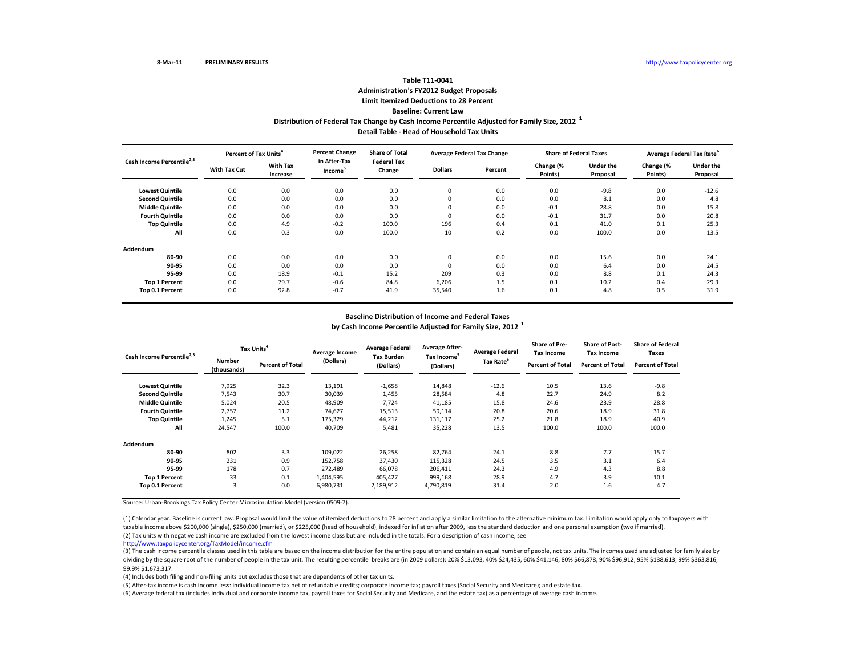## **Distribution of Federal Tax Change by Cash Income Percentile Adjusted for Family Size, <sup>2012</sup> <sup>1</sup> Detail Table ‐ Head of Household Tax Units Table T11‐0041Administration's FY2012 Budget Proposals Limit Itemized Deductions to 28 Percent Baseline: Current Law**

| Cash Income Percentile <sup>2,3</sup> | Percent of Tax Units <sup>4</sup> |                             | <b>Percent Change</b><br>in After-Tax | <b>Share of Total</b><br><b>Federal Tax</b> | <b>Average Federal Tax Change</b> |         |                      | <b>Share of Federal Taxes</b> | Average Federal Tax Rate <sup>6</sup> |                              |
|---------------------------------------|-----------------------------------|-----------------------------|---------------------------------------|---------------------------------------------|-----------------------------------|---------|----------------------|-------------------------------|---------------------------------------|------------------------------|
|                                       | <b>With Tax Cut</b>               | <b>With Tax</b><br>Increase | Income <sup>5</sup>                   | Change                                      | <b>Dollars</b>                    | Percent | Change (%<br>Points) | <b>Under the</b><br>Proposal  | Change (%<br>Points)                  | <b>Under the</b><br>Proposal |
| <b>Lowest Quintile</b>                | 0.0                               | 0.0                         | 0.0                                   | 0.0                                         | $\mathbf 0$                       | 0.0     | 0.0                  | $-9.8$                        | 0.0                                   | $-12.6$                      |
| <b>Second Quintile</b>                | 0.0                               | 0.0                         | 0.0                                   | 0.0                                         | 0                                 | 0.0     | 0.0                  | 8.1                           | 0.0                                   | 4.8                          |
| <b>Middle Quintile</b>                | 0.0                               | 0.0                         | 0.0                                   | 0.0                                         |                                   | 0.0     | $-0.1$               | 28.8                          | 0.0                                   | 15.8                         |
| <b>Fourth Quintile</b>                | 0.0                               | 0.0                         | 0.0                                   | 0.0                                         | $\Omega$                          | 0.0     | $-0.1$               | 31.7                          | 0.0                                   | 20.8                         |
| <b>Top Quintile</b>                   | 0.0                               | 4.9                         | $-0.2$                                | 100.0                                       | 196                               | 0.4     | 0.1                  | 41.0                          | 0.1                                   | 25.3                         |
| All                                   | 0.0                               | 0.3                         | 0.0                                   | 100.0                                       | 10                                | 0.2     | 0.0                  | 100.0                         | 0.0                                   | 13.5                         |
| Addendum                              |                                   |                             |                                       |                                             |                                   |         |                      |                               |                                       |                              |
| 80-90                                 | 0.0                               | 0.0                         | 0.0                                   | 0.0                                         | $\Omega$                          | 0.0     | 0.0                  | 15.6                          | 0.0                                   | 24.1                         |
| 90-95                                 | 0.0                               | 0.0                         | 0.0                                   | 0.0                                         |                                   | 0.0     | 0.0                  | 6.4                           | 0.0                                   | 24.5                         |
| 95-99                                 | 0.0                               | 18.9                        | $-0.1$                                | 15.2                                        | 209                               | 0.3     | 0.0                  | 8.8                           | 0.1                                   | 24.3                         |
| <b>Top 1 Percent</b>                  | 0.0                               | 79.7                        | $-0.6$                                | 84.8                                        | 6,206                             | 1.5     | 0.1                  | 10.2                          | 0.4                                   | 29.3                         |
| Top 0.1 Percent                       | 0.0                               | 92.8                        | $-0.7$                                | 41.9                                        | 35,540                            | 1.6     | 0.1                  | 4.8                           | 0.5                                   | 31.9                         |

## **Baseline Distribution of Income and Federal Taxes by Cash Income Percentile Adjusted for Family Size, <sup>2012</sup> <sup>1</sup>**

| Cash Income Percentile <sup>2,3</sup> |                              | Tax Units <sup>4</sup>  | Average Income | <b>Average Federal</b>         | <b>Average After-</b>                | <b>Average Federal</b> | Share of Pre-<br><b>Tax Income</b> | <b>Share of Post-</b><br><b>Tax Income</b> | <b>Share of Federal</b><br>Taxes |
|---------------------------------------|------------------------------|-------------------------|----------------|--------------------------------|--------------------------------------|------------------------|------------------------------------|--------------------------------------------|----------------------------------|
|                                       | <b>Number</b><br>(thousands) | <b>Percent of Total</b> | (Dollars)      | <b>Tax Burden</b><br>(Dollars) | Tax Income <sup>5</sup><br>(Dollars) | Tax Rate <sup>6</sup>  | <b>Percent of Total</b>            | <b>Percent of Total</b>                    | <b>Percent of Total</b>          |
| <b>Lowest Quintile</b>                | 7.925                        | 32.3                    | 13,191         | $-1,658$                       | 14,848                               | $-12.6$                | 10.5                               | 13.6                                       | $-9.8$                           |
| <b>Second Quintile</b>                | 7,543                        | 30.7                    | 30,039         | 1,455                          | 28,584                               | 4.8                    | 22.7                               | 24.9                                       | 8.2                              |
| <b>Middle Quintile</b>                | 5,024                        | 20.5                    | 48,909         | 7,724                          | 41,185                               | 15.8                   | 24.6                               | 23.9                                       | 28.8                             |
| <b>Fourth Quintile</b>                | 2,757                        | 11.2                    | 74,627         | 15,513                         | 59,114                               | 20.8                   | 20.6                               | 18.9                                       | 31.8                             |
| <b>Top Quintile</b>                   | 1,245                        | 5.1                     | 175,329        | 44,212                         | 131,117                              | 25.2                   | 21.8                               | 18.9                                       | 40.9                             |
| All                                   | 24,547                       | 100.0                   | 40,709         | 5,481                          | 35,228                               | 13.5                   | 100.0                              | 100.0                                      | 100.0                            |
| Addendum                              |                              |                         |                |                                |                                      |                        |                                    |                                            |                                  |
| 80-90                                 | 802                          | 3.3                     | 109,022        | 26,258                         | 82.764                               | 24.1                   | 8.8                                | 7.7                                        | 15.7                             |
| 90-95                                 | 231                          | 0.9                     | 152,758        | 37,430                         | 115,328                              | 24.5                   | 3.5                                | 3.1                                        | 6.4                              |
| 95-99                                 | 178                          | 0.7                     | 272.489        | 66.078                         | 206.411                              | 24.3                   | 4.9                                | 4.3                                        | 8.8                              |
| <b>Top 1 Percent</b>                  | 33                           | 0.1                     | 1,404,595      | 405,427                        | 999,168                              | 28.9                   | 4.7                                | 3.9                                        | 10.1                             |
| Top 0.1 Percent                       | 3                            | 0.0                     | 6,980,731      | 2,189,912                      | 4,790,819                            | 31.4                   | 2.0                                | 1.6                                        | 4.7                              |

Source: Urban‐Brookings Tax Policy Center Microsimulation Model (version 0509‐7).

(2) Tax units with negative cash income are excluded from the lowest income class but are included in the totals. For <sup>a</sup> description of cash income, see (1) Calendar year. Baseline is current law. Proposal would limit the value of itemized deductions to 28 percent and apply <sup>a</sup> similar limitation to the alternative minimum tax. Limitation would apply only to taxpayers with taxable income above \$200,000 (single), \$250,000 (married), or \$225,000 (head of household), indexed for inflation after 2009, less the standard deduction and one personal exemption (two if married).

http://www.taxpolicycenter.org/TaxModel/income.cfm

(3) The cash income percentile classes used in this table are based on the income distribution for the entire population and contain an equal number of people, not tax units. The incomes used are adjusted for family size b dividing by the square root of the number of people in the tax unit. The resulting percentile breaks are (in 2009 dollars): 20% \$13,093, 40% \$24,435, 60% \$41,146, 80% \$66,878, 90% \$96,912, 95% \$138,613, 99% \$363,816, 99.9% \$1,673,317.

(4) Includes both filing and non‐filing units but excludes those that are dependents of other tax units.

(5) After‐tax income is cash income less: individual income tax net of refundable credits; corporate income tax; payroll taxes (Social Security and Medicare); and estate tax.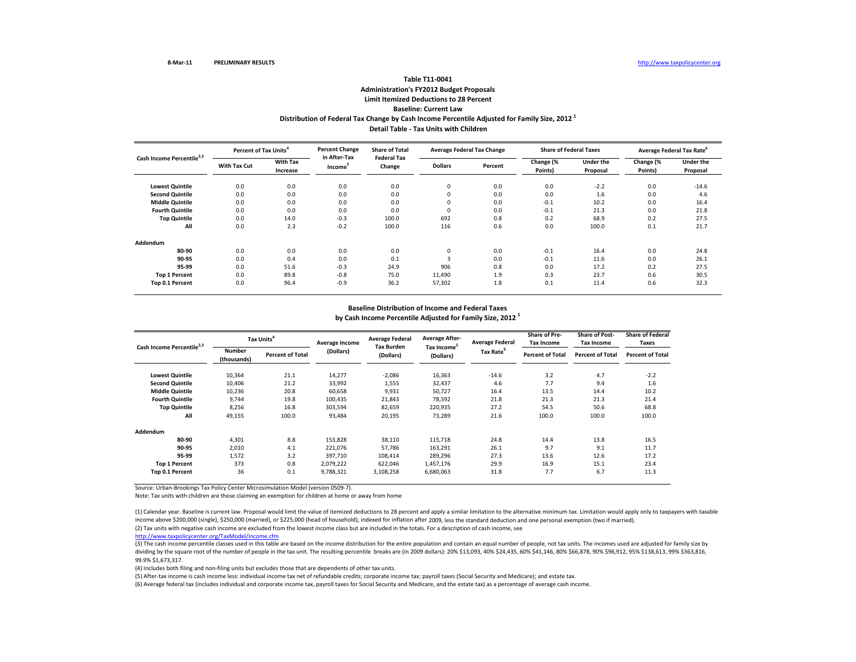## **Distribution of Federal Tax Change by Cash Income Percentile Adjusted for Family Size, <sup>2012</sup> <sup>1</sup> Detail Table ‐ Tax Units with Children Table T11‐0041 Administration's FY2012 Budget Proposals Limit Itemized Deductions to 28 Percent Baseline: Current Law**

| Cash Income Percentile <sup>2,3</sup> | Percent of Tax Units <sup>4</sup> |                             | <b>Percent Change</b>               | <b>Share of Total</b>        | <b>Average Federal Tax Change</b> |         |                      | <b>Share of Federal Taxes</b> | Average Federal Tax Rate <sup>6</sup> |                              |  |
|---------------------------------------|-----------------------------------|-----------------------------|-------------------------------------|------------------------------|-----------------------------------|---------|----------------------|-------------------------------|---------------------------------------|------------------------------|--|
|                                       | With Tax Cut                      | <b>With Tax</b><br>Increase | in After-Tax<br>Income <sup>3</sup> | <b>Federal Tax</b><br>Change | <b>Dollars</b>                    | Percent | Change (%<br>Points) | <b>Under the</b><br>Proposal  | Change (%<br>Points)                  | <b>Under the</b><br>Proposal |  |
| <b>Lowest Quintile</b>                | 0.0                               | 0.0                         | 0.0                                 | 0.0                          | 0                                 | 0.0     | 0.0                  | $-2.2$                        | 0.0                                   | $-14.6$                      |  |
| <b>Second Quintile</b>                | 0.0                               | 0.0                         | 0.0                                 | 0.0                          | 0                                 | 0.0     | 0.0                  | 1.6                           | 0.0                                   | 4.6                          |  |
| <b>Middle Quintile</b>                | 0.0                               | 0.0                         | 0.0                                 | 0.0                          | 0                                 | 0.0     | $-0.1$               | 10.2                          | 0.0                                   | 16.4                         |  |
| <b>Fourth Quintile</b>                | 0.0                               | 0.0                         | 0.0                                 | 0.0                          | 0                                 | 0.0     | $-0.1$               | 21.3                          | 0.0                                   | 21.8                         |  |
| <b>Top Quintile</b>                   | 0.0                               | 14.0                        | $-0.3$                              | 100.0                        | 692                               | 0.8     | 0.2                  | 68.9                          | 0.2                                   | 27.5                         |  |
| All                                   | 0.0                               | 2.3                         | $-0.2$                              | 100.0                        | 116                               | 0.6     | 0.0                  | 100.0                         | 0.1                                   | 21.7                         |  |
| Addendum                              |                                   |                             |                                     |                              |                                   |         |                      |                               |                                       |                              |  |
| 80-90                                 | 0.0                               | 0.0                         | 0.0                                 | 0.0                          | 0                                 | 0.0     | $-0.1$               | 16.4                          | 0.0                                   | 24.8                         |  |
| 90-95                                 | 0.0                               | 0.4                         | 0.0                                 | 0.1                          |                                   | 0.0     | $-0.1$               | 11.6                          | 0.0                                   | 26.1                         |  |
| 95-99                                 | 0.0                               | 51.6                        | $-0.3$                              | 24.9                         | 906                               | 0.8     | 0.0                  | 17.2                          | 0.2                                   | 27.5                         |  |
| <b>Top 1 Percent</b>                  | 0.0                               | 89.8                        | $-0.8$                              | 75.0                         | 11,490                            | 1.9     | 0.3                  | 23.7                          | 0.6                                   | 30.5                         |  |
| Top 0.1 Percent                       | 0.0                               | 96.4                        | $-0.9$                              | 36.2                         | 57,302                            | 1.8     | 0.1                  | 11.4                          | 0.6                                   | 32.3                         |  |

#### **Baseline Distribution of Income and Federal Taxes**

**by Cash Income Percentile Adjusted for Family Size, <sup>2012</sup> <sup>1</sup>**

| Cash Income Percentile <sup>2,3</sup> | Tax Units <sup>4</sup>       |                         | Average Income | <b>Average Federal</b>         | <b>Average After-</b>                | <b>Average Federal</b> | <b>Share of Pre-</b><br><b>Tax Income</b> | <b>Share of Post-</b><br><b>Tax Income</b> | <b>Share of Federal</b><br>Taxes |
|---------------------------------------|------------------------------|-------------------------|----------------|--------------------------------|--------------------------------------|------------------------|-------------------------------------------|--------------------------------------------|----------------------------------|
|                                       | <b>Number</b><br>(thousands) | <b>Percent of Total</b> | (Dollars)      | <b>Tax Burden</b><br>(Dollars) | Tax Income <sup>5</sup><br>(Dollars) | Tax Rate <sup>6</sup>  | <b>Percent of Total</b>                   | <b>Percent of Total</b>                    | <b>Percent of Total</b>          |
| <b>Lowest Quintile</b>                | 10,364                       | 21.1                    | 14,277         | $-2,086$                       | 16,363                               | $-14.6$                | 3.2                                       | 4.7                                        | $-2.2$                           |
| <b>Second Quintile</b>                | 10,406                       | 21.2                    | 33,992         | 1,555                          | 32,437                               | 4.6                    | 7.7                                       | 9.4                                        | 1.6                              |
| <b>Middle Quintile</b>                | 10,236                       | 20.8                    | 60,658         | 9,931                          | 50,727                               | 16.4                   | 13.5                                      | 14.4                                       | 10.2                             |
| <b>Fourth Quintile</b>                | 9,744                        | 19.8                    | 100,435        | 21,843                         | 78,592                               | 21.8                   | 21.3                                      | 21.3                                       | 21.4                             |
| <b>Top Quintile</b>                   | 8,256                        | 16.8                    | 303,594        | 82,659                         | 220,935                              | 27.2                   | 54.5                                      | 50.6                                       | 68.8                             |
| All                                   | 49,155                       | 100.0                   | 93,484         | 20,195                         | 73,289                               | 21.6                   | 100.0                                     | 100.0                                      | 100.0                            |
| Addendum                              |                              |                         |                |                                |                                      |                        |                                           |                                            |                                  |
| 80-90                                 | 4,301                        | 8.8                     | 153,828        | 38,110                         | 115,718                              | 24.8                   | 14.4                                      | 13.8                                       | 16.5                             |
| 90-95                                 | 2,010                        | 4.1                     | 221,076        | 57,786                         | 163,291                              | 26.1                   | 9.7                                       | 9.1                                        | 11.7                             |
| 95-99                                 | 1,572                        | 3.2                     | 397,710        | 108,414                        | 289,296                              | 27.3                   | 13.6                                      | 12.6                                       | 17.2                             |
| <b>Top 1 Percent</b>                  | 373                          | 0.8                     | 2,079,222      | 622,046                        | 1,457,176                            | 29.9                   | 16.9                                      | 15.1                                       | 23.4                             |
| Top 0.1 Percent                       | 36                           | 0.1                     | 9,788,321      | 3,108,258                      | 6,680,063                            | 31.8                   | 7.7                                       | 6.7                                        | 11.3                             |

Source: Urban‐Brookings Tax Policy Center Microsimulation Model (version 0509‐7).

Note: Tax units with children are those claiming an exemption for children at home or away from home

(1) Calendar year. Baseline is current law. Proposal would limit the value of itemized deductions to 28 percent and apply a similar limitation to the alternative minimum tax. Limitation would apply only to taxpayers with t income above \$200,000 (single), \$250,000 (married), or \$225,000 (head of household), indexed for inflation after 2009, less the standard deduction and one personal exemption (two if married).

(2) Tax units with negative cash income are excluded from the lowest income class but are included in the totals. For <sup>a</sup> description of cash income, see

http://www.taxpolicycenter.org/TaxModel/income.cfm

(3) The cash income percentile classes used in this table are based on the income distribution for the entire population and contain an equal number of people, not tax units. The incomes used are adjusted for family size b dividing by the square root of the number of people in the tax unit. The resulting percentile breaks are (in 2009 dollars): 20% \$13,093, 40% \$24,435, 60% \$41,146, 80% \$66,878, 90% \$96,912, 95% \$138,613, 99% \$363,816, 99.9% \$1,673,317.

(4) Includes both filing and non‐filing units but excludes those that are dependents of other tax units.

(5) After‐tax income is cash income less: individual income tax net of refundable credits; corporate income tax; payroll taxes (Social Security and Medicare); and estate tax.